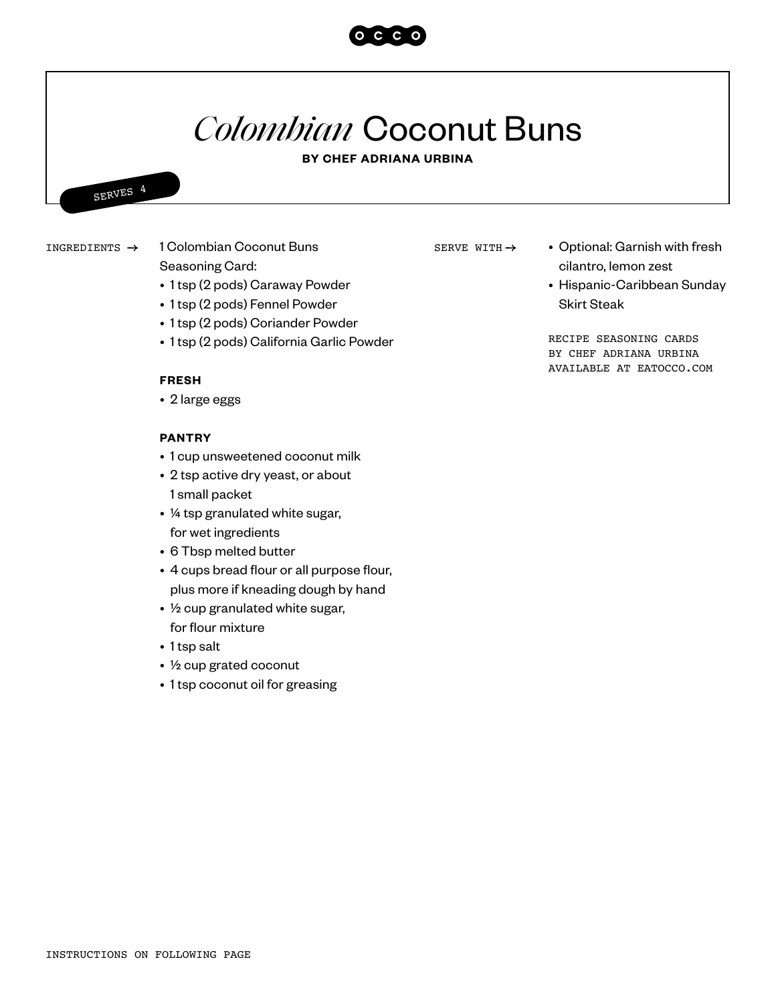# *Colombian* Coconut Buns

#### **BY CHEF ADRIANA URBINA**



## 1 Colombian Coconut Buns Seasoning Card:

- 1 tsp (2 pods) Caraway Powder
- 1 tsp (2 pods) Fennel Powder
- 1 tsp (2 pods) Coriander Powder
- 1 tsp (2 pods) California Garlic Powder

#### **FRESH**

• 2 large eggs

#### **PANTRY**

- 1 cup unsweetened coconut milk
- 2 tsp active dry yeast, or about 1 small packet
- ¼ tsp granulated white sugar, for wet ingredients
- 6 Tbsp melted butter
- 4 cups bread flour or all purpose flour, plus more if kneading dough by hand
- ½ cup granulated white sugar, for flour mixture
- 1 tsp salt
- ½ cup grated coconut
- 1 tsp coconut oil for greasing

SERVE WITH  $\rightarrow$ 

- INGREDIENTS  $\rightarrow$  1 Colombian Coconut Buns SERVE WITH  $\rightarrow$  Optional: Garnish with fresh cilantro, lemon zest
	- Hispanic-Caribbean Sunday Skirt Steak

RECIPE SEASONING CARDS BY CHEF ADRIANA URBINA AVAILABLE AT EATOCCO.COM